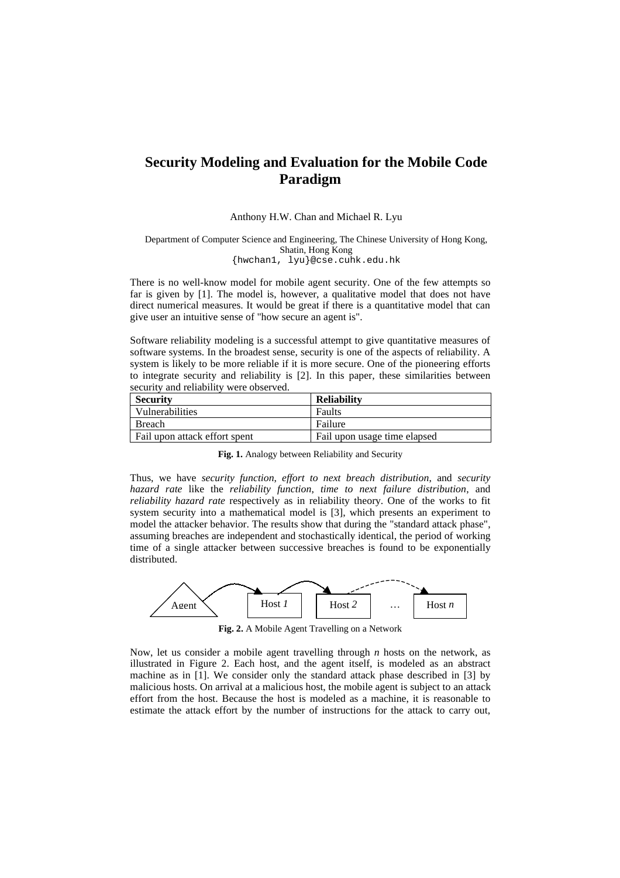## **Security Modeling and Evaluation for the Mobile Code Paradigm**

## Anthony H.W. Chan and Michael R. Lyu

## Department of Computer Science and Engineering, The Chinese University of Hong Kong, Shatin, Hong Kong {hwchan1, lyu}@cse.cuhk.edu.hk

There is no well-know model for mobile agent security. One of the few attempts so far is given by [1]. The model is, however, a qualitative model that does not have direct numerical measures. It would be great if there is a quantitative model that can give user an intuitive sense of "how secure an agent is".

Software reliability modeling is a successful attempt to give quantitative measures of software systems. In the broadest sense, security is one of the aspects of reliability. A system is likely to be more reliable if it is more secure. One of the pioneering efforts to integrate security and reliability is [2]. In this paper, these similarities between security and reliability were observed.

| <b>Security</b>               | <b>Reliability</b>           |
|-------------------------------|------------------------------|
| Vulnerabilities               | Faults                       |
| <b>Breach</b>                 | Failure                      |
| Fail upon attack effort spent | Fail upon usage time elapsed |

**Fig. 1.** Analogy between Reliability and Security

Thus, we have *security function*, *effort to next breach distribution*, and *security hazard rate* like the *reliability function*, *time to next failure distribution*, and *reliability hazard rate* respectively as in reliability theory. One of the works to fit system security into a mathematical model is [3], which presents an experiment to model the attacker behavior. The results show that during the "standard attack phase", assuming breaches are independent and stochastically identical, the period of working time of a single attacker between successive breaches is found to be exponentially distributed.



**Fig. 2.** A Mobile Agent Travelling on a Network

Now, let us consider a mobile agent travelling through *n* hosts on the network, as illustrated in Figure 2. Each host, and the agent itself, is modeled as an abstract machine as in [1]. We consider only the standard attack phase described in [3] by malicious hosts. On arrival at a malicious host, the mobile agent is subject to an attack effort from the host. Because the host is modeled as a machine, it is reasonable to estimate the attack effort by the number of instructions for the attack to carry out,